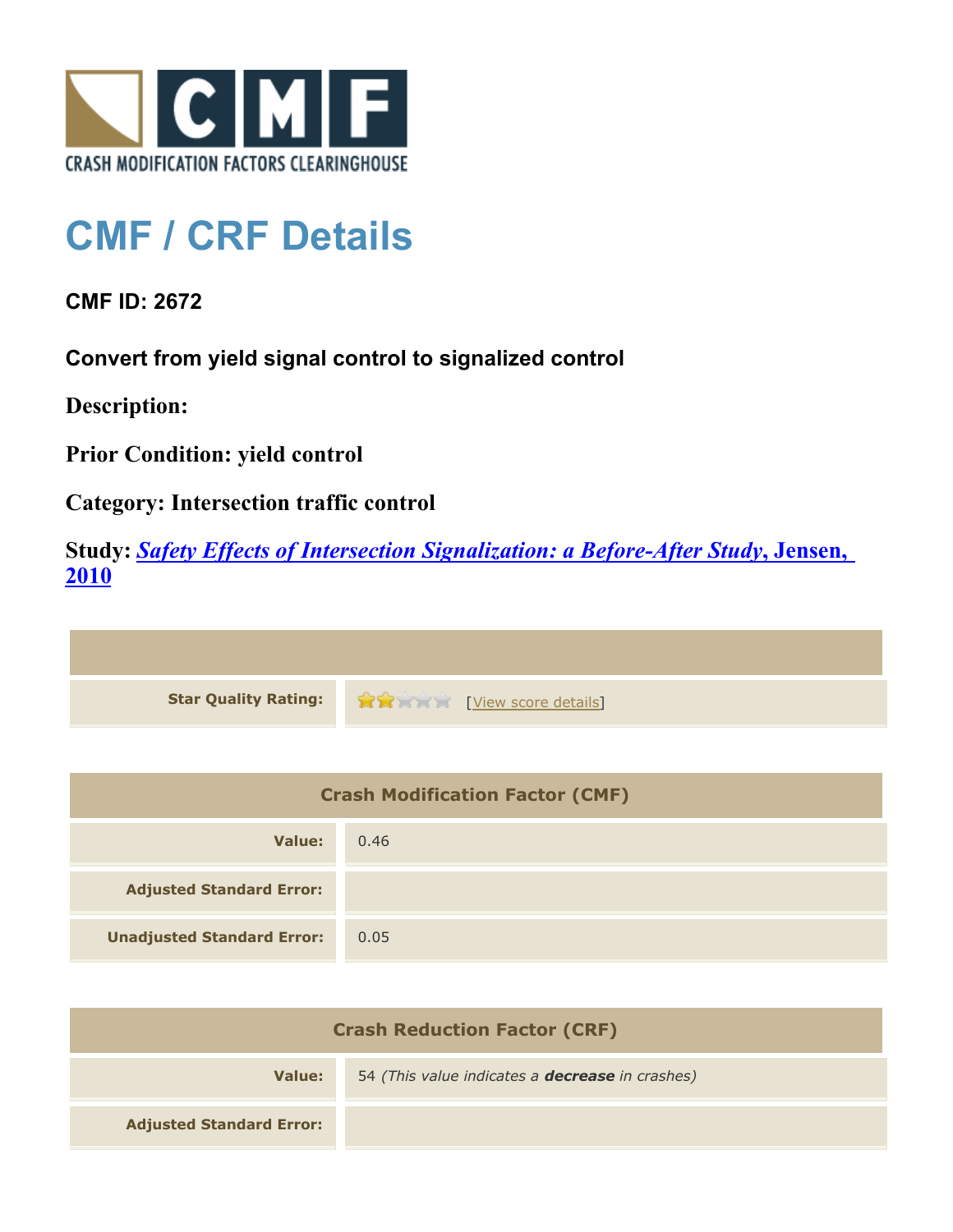

## **CMF / CRF Details**

**CMF ID: 2672**

**Convert from yield signal control to signalized control**

**Description:** 

**Prior Condition: yield control**

**Category: Intersection traffic control**

**Study:** *[Safety Effects of Intersection Signalization: a Before-After Study](http://www.cmfclearinghouse.org/study_detail.cfm?stid=170)***[, Jensen,](http://www.cmfclearinghouse.org/study_detail.cfm?stid=170) [2010](http://www.cmfclearinghouse.org/study_detail.cfm?stid=170)**



| <b>Crash Modification Factor (CMF)</b> |      |
|----------------------------------------|------|
| Value:                                 | 0.46 |
| <b>Adjusted Standard Error:</b>        |      |
| <b>Unadjusted Standard Error:</b>      | 0.05 |

| <b>Crash Reduction Factor (CRF)</b> |                                                        |
|-------------------------------------|--------------------------------------------------------|
| Value:                              | 54 (This value indicates a <b>decrease</b> in crashes) |
| <b>Adjusted Standard Error:</b>     |                                                        |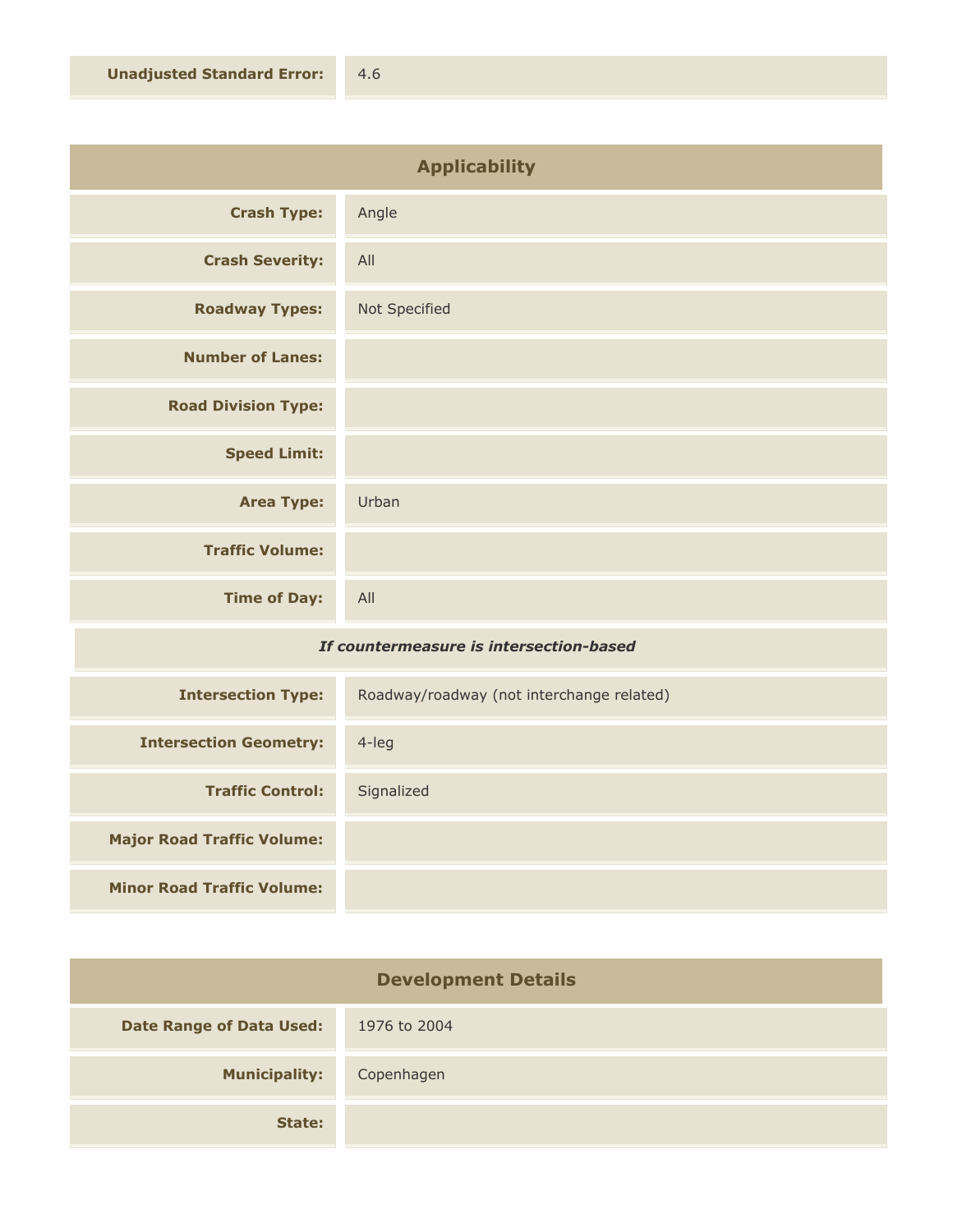| <b>Applicability</b>       |               |
|----------------------------|---------------|
| <b>Crash Type:</b>         | Angle         |
| <b>Crash Severity:</b>     | All           |
| <b>Roadway Types:</b>      | Not Specified |
| <b>Number of Lanes:</b>    |               |
| <b>Road Division Type:</b> |               |
| <b>Speed Limit:</b>        |               |
| <b>Area Type:</b>          | Urban         |
| <b>Traffic Volume:</b>     |               |
| <b>Time of Day:</b>        | All           |

## *If countermeasure is intersection-based*

| <b>Intersection Type:</b>         | Roadway/roadway (not interchange related) |
|-----------------------------------|-------------------------------------------|
| <b>Intersection Geometry:</b>     | $4$ -leg                                  |
| <b>Traffic Control:</b>           | Signalized                                |
| <b>Major Road Traffic Volume:</b> |                                           |
| <b>Minor Road Traffic Volume:</b> |                                           |

| <b>Development Details</b>      |              |
|---------------------------------|--------------|
| <b>Date Range of Data Used:</b> | 1976 to 2004 |
| <b>Municipality:</b>            | Copenhagen   |
| State:                          |              |